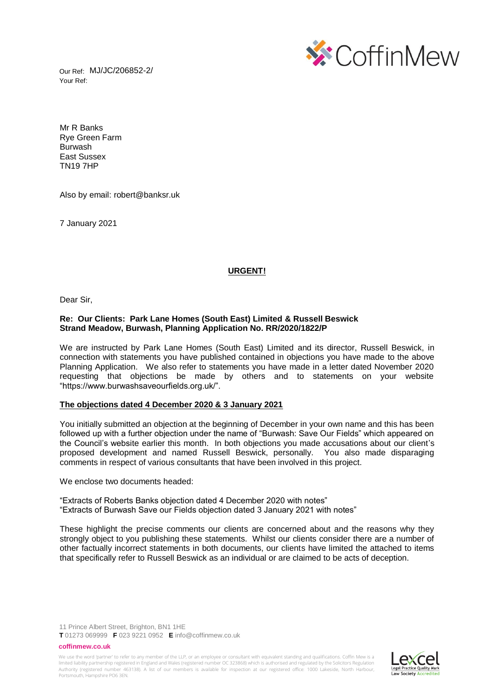Our Ref: MJ/JC/206852-2/ Your Ref:



Mr R Banks Rye Green Farm Burwash East Sussex TN19 7HP

Also by email: robert@banksr.uk

7 January 2021

## **URGENT!**

Dear Sir,

### **Re: Our Clients: Park Lane Homes (South East) Limited & Russell Beswick Strand Meadow, Burwash, Planning Application No. RR/2020/1822/P**

We are instructed by Park Lane Homes (South East) Limited and its director, Russell Beswick, in connection with statements you have published contained in objections you have made to the above Planning Application. We also refer to statements you have made in a letter dated November 2020 requesting that objections be made by others and to statements on your website "https://www.burwashsaveourfields.org.uk/".

## **The objections dated 4 December 2020 & 3 January 2021**

You initially submitted an objection at the beginning of December in your own name and this has been followed up with a further objection under the name of "Burwash: Save Our Fields" which appeared on the Council's website earlier this month. In both objections you made accusations about our client's proposed development and named Russell Beswick, personally. You also made disparaging comments in respect of various consultants that have been involved in this project.

We enclose two documents headed:

"Extracts of Roberts Banks objection dated 4 December 2020 with notes" "Extracts of Burwash Save our Fields objection dated 3 January 2021 with notes"

These highlight the precise comments our clients are concerned about and the reasons why they strongly object to you publishing these statements. Whilst our clients consider there are a number of other factually incorrect statements in both documents, our clients have limited the attached to items that specifically refer to Russell Beswick as an individual or are claimed to be acts of deception.

11 Prince Albert Street, Brighton, BN1 1HE

**T** 01273 069999 **F** 023 9221 0952 **E** info@coffinmew.co.uk

#### **coffinmew.co.uk**

We use the word 'partner' to refer to any member of the LLP, or an employee or consultant with equivalent standing and qualifications. Coffin Mew is a limited liability partnership registered in England and Wales (registered number OC 323868) which is authorised and regulated by the Solicitors Regulation<br>Authority (registered number 463138). A list of our members is avai Portsmouth, Hampshire PO6 3EN.

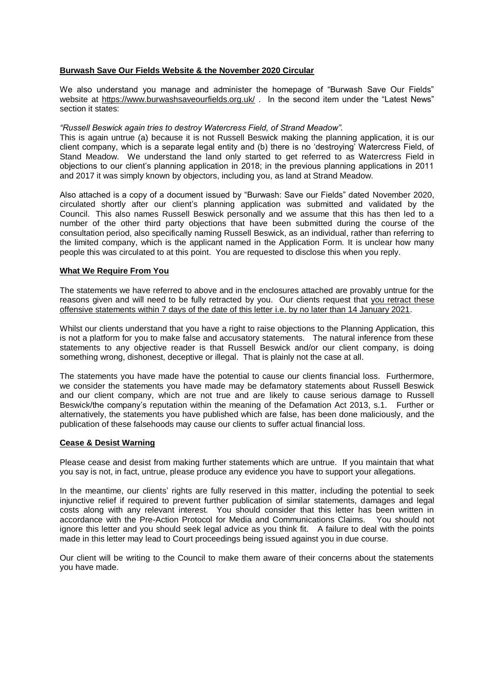# **Burwash Save Our Fields Website & the November 2020 Circular**

We also understand you manage and administer the homepage of "Burwash Save Our Fields" website at<https://www.burwashsaveourfields.org.uk/> . In the second item under the "Latest News" section it states:

## *"Russell Beswick again tries to destroy Watercress Field, of Strand Meadow".*

This is again untrue (a) because it is not Russell Beswick making the planning application, it is our client company, which is a separate legal entity and (b) there is no 'destroying' Watercress Field, of Stand Meadow. We understand the land only started to get referred to as Watercress Field in objections to our client's planning application in 2018; in the previous planning applications in 2011 and 2017 it was simply known by objectors, including you, as land at Strand Meadow.

Also attached is a copy of a document issued by "Burwash: Save our Fields" dated November 2020, circulated shortly after our client's planning application was submitted and validated by the Council. This also names Russell Beswick personally and we assume that this has then led to a number of the other third party objections that have been submitted during the course of the consultation period, also specifically naming Russell Beswick, as an individual, rather than referring to the limited company, which is the applicant named in the Application Form. It is unclear how many people this was circulated to at this point. You are requested to disclose this when you reply.

## **What We Require From You**

The statements we have referred to above and in the enclosures attached are provably untrue for the reasons given and will need to be fully retracted by you. Our clients request that you retract these offensive statements within 7 days of the date of this letter i.e. by no later than 14 January 2021.

Whilst our clients understand that you have a right to raise objections to the Planning Application, this is not a platform for you to make false and accusatory statements. The natural inference from these statements to any objective reader is that Russell Beswick and/or our client company, is doing something wrong, dishonest, deceptive or illegal. That is plainly not the case at all.

The statements you have made have the potential to cause our clients financial loss. Furthermore, we consider the statements you have made may be defamatory statements about Russell Beswick and our client company, which are not true and are likely to cause serious damage to Russell Beswick/the company's reputation within the meaning of the Defamation Act 2013, s.1. Further or alternatively, the statements you have published which are false, has been done maliciously, and the publication of these falsehoods may cause our clients to suffer actual financial loss.

## **Cease & Desist Warning**

Please cease and desist from making further statements which are untrue. If you maintain that what you say is not, in fact, untrue, please produce any evidence you have to support your allegations.

In the meantime, our clients' rights are fully reserved in this matter, including the potential to seek injunctive relief if required to prevent further publication of similar statements, damages and legal costs along with any relevant interest. You should consider that this letter has been written in accordance with the Pre-Action Protocol for Media and Communications Claims. You should not ignore this letter and you should seek legal advice as you think fit. A failure to deal with the points made in this letter may lead to Court proceedings being issued against you in due course.

Our client will be writing to the Council to make them aware of their concerns about the statements you have made.